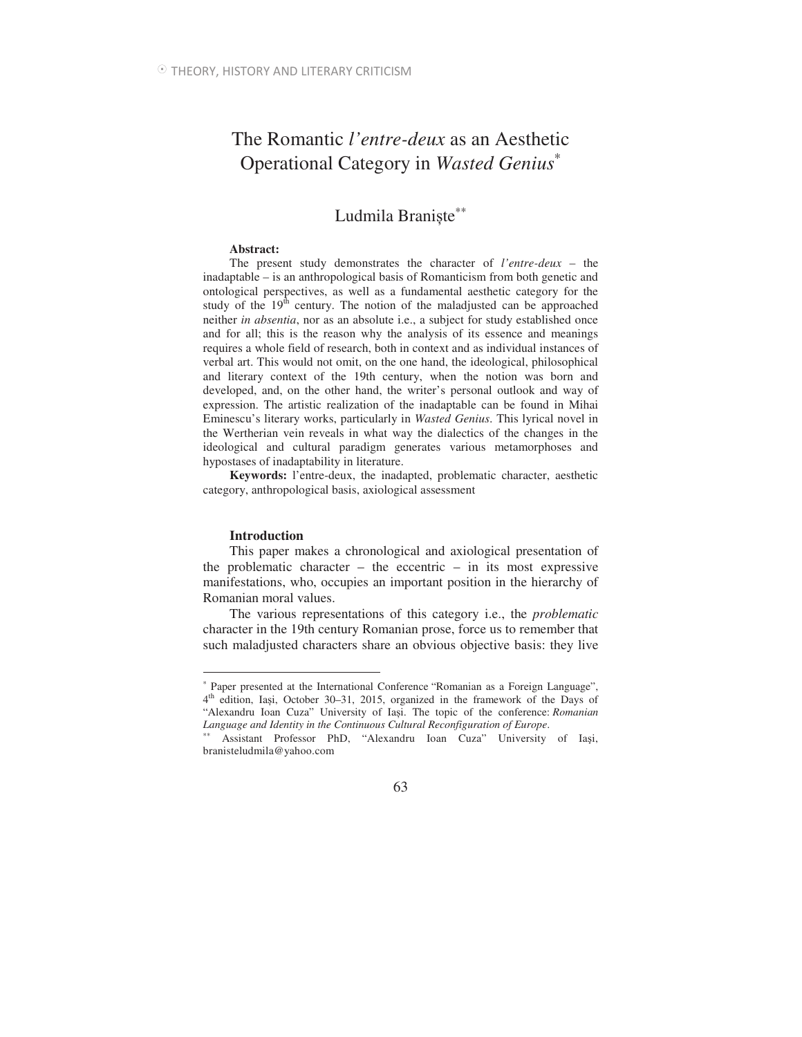# The Romantic *l'entre-deux* as an Aesthetic Operational Category in *Wasted Genius*<sup>∗</sup>

## Ludmila Braniste<sup>\*\*</sup>

#### **Abstract:**

The present study demonstrates the character of *l'entre-deux* – the inadaptable – is an anthropological basis of Romanticism from both genetic and ontological perspectives, as well as a fundamental aesthetic category for the study of the  $19<sup>th</sup>$  century. The notion of the maladjusted can be approached neither *in absentia*, nor as an absolute i.e., a subject for study established once and for all; this is the reason why the analysis of its essence and meanings requires a whole field of research, both in context and as individual instances of verbal art. This would not omit, on the one hand, the ideological, philosophical and literary context of the 19th century, when the notion was born and developed, and, on the other hand, the writer's personal outlook and way of expression. The artistic realization of the inadaptable can be found in Mihai Eminescu's literary works, particularly in *Wasted Genius*. This lyrical novel in the Wertherian vein reveals in what way the dialectics of the changes in the ideological and cultural paradigm generates various metamorphoses and hypostases of inadaptability in literature.

**Keywords:** l'entre-deux, the inadapted, problematic character, aesthetic category, anthropological basis, axiological assessment

#### **Introduction**

 $\overline{a}$ 

This paper makes a chronological and axiological presentation of the problematic character – the eccentric – in its most expressive manifestations, who, occupies an important position in the hierarchy of Romanian moral values.

The various representations of this category i.e., the *problematic*  character in the 19th century Romanian prose, force us to remember that such maladjusted characters share an obvious objective basis: they live

<sup>∗</sup> Paper presented at the International Conference "Romanian as a Foreign Language", 4<sup>th</sup> edition, Iași, October 30–31, 2015, organized in the framework of the Days of "Alexandru Ioan Cuza" University of Iasi. The topic of the conference: *Romanian Language and Identity in the Continuous Cultural Reconfiguration of Europe*.

<sup>∗∗</sup> Assistant Professor PhD, "Alexandru Ioan Cuza" University of Iai, branisteludmila@yahoo.com

<sup>63</sup>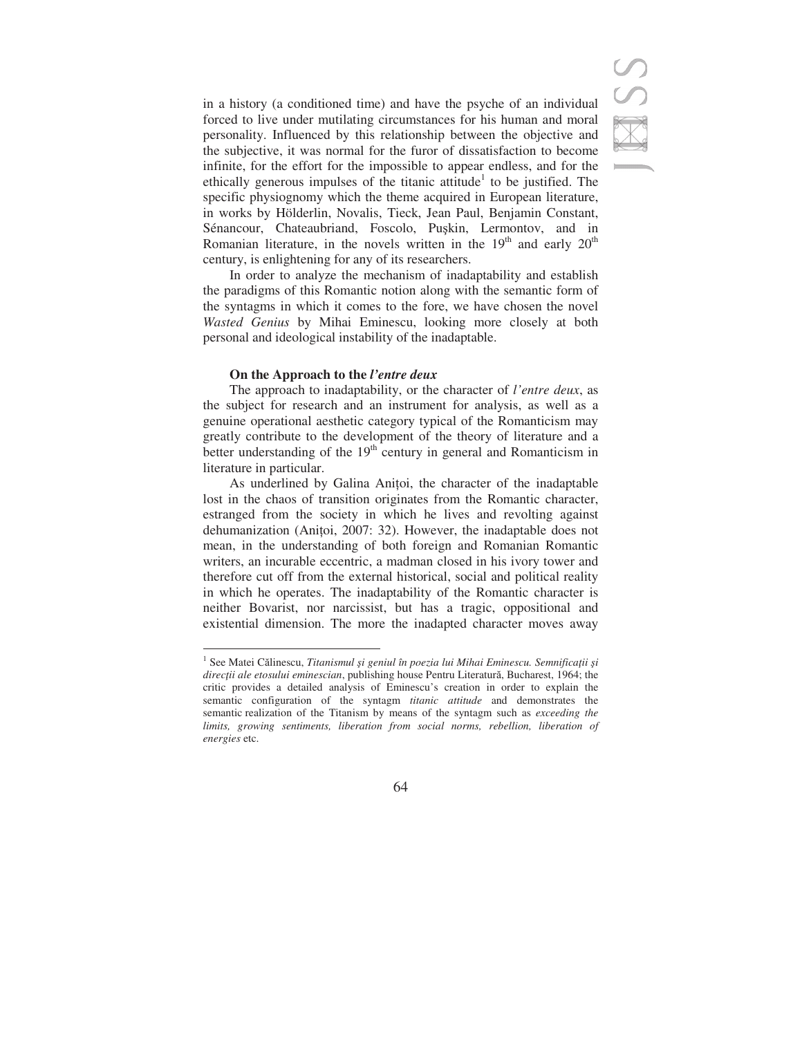in a history (a conditioned time) and have the psyche of an individual forced to live under mutilating circumstances for his human and moral personality. Influenced by this relationship between the objective and the subjective, it was normal for the furor of dissatisfaction to become infinite, for the effort for the impossible to appear endless, and for the ethically generous impulses of the titanic attitude<sup>1</sup> to be justified. The specific physiognomy which the theme acquired in European literature, in works by Hölderlin, Novalis, Tieck, Jean Paul, Benjamin Constant, Sénancour, Chateaubriand, Foscolo, Pușkin, Lermontov, and in Romanian literature, in the novels written in the  $19<sup>th</sup>$  and early  $20<sup>th</sup>$ century, is enlightening for any of its researchers.

In order to analyze the mechanism of inadaptability and establish the paradigms of this Romantic notion along with the semantic form of the syntagms in which it comes to the fore, we have chosen the novel *Wasted Genius* by Mihai Eminescu, looking more closely at both personal and ideological instability of the inadaptable.

### **On the Approach to the** *l'entre deux*

 $\overline{a}$ 

The approach to inadaptability, or the character of *l'entre deux*, as the subject for research and an instrument for analysis, as well as a genuine operational aesthetic category typical of the Romanticism may greatly contribute to the development of the theory of literature and a better understanding of the  $19<sup>th</sup>$  century in general and Romanticism in literature in particular.

As underlined by Galina Anitoi, the character of the inadaptable lost in the chaos of transition originates from the Romantic character, estranged from the society in which he lives and revolting against dehumanization (Anitoi, 2007: 32). However, the inadaptable does not mean, in the understanding of both foreign and Romanian Romantic writers, an incurable eccentric, a madman closed in his ivory tower and therefore cut off from the external historical, social and political reality in which he operates. The inadaptability of the Romantic character is neither Bovarist, nor narcissist, but has a tragic, oppositional and existential dimension. The more the inadapted character moves away

<sup>&</sup>lt;sup>1</sup> See Matei Călinescu, Titanismul și geniul în poezia lui Mihai Eminescu. Semnificații și direcții ale etosului eminescian, publishing house Pentru Literatură, Bucharest, 1964; the critic provides a detailed analysis of Eminescu's creation in order to explain the semantic configuration of the syntagm *titanic attitude* and demonstrates the semantic realization of the Titanism by means of the syntagm such as *exceeding the limits, growing sentiments, liberation from social norms, rebellion, liberation of energies* etc.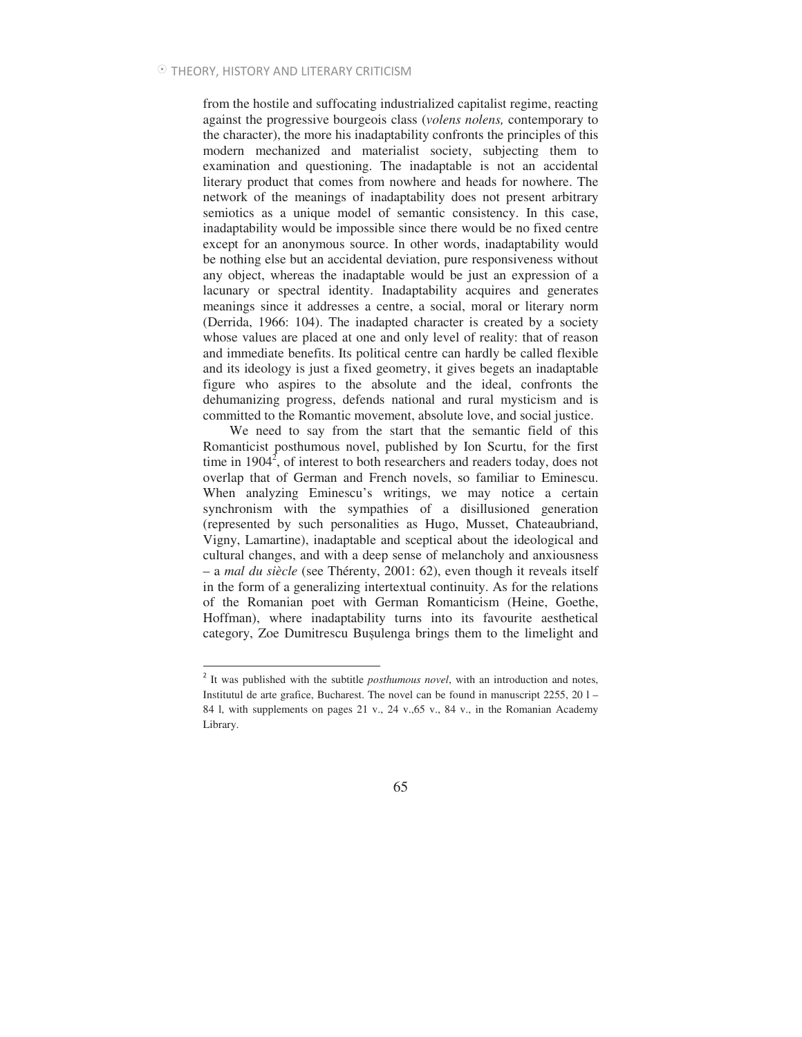from the hostile and suffocating industrialized capitalist regime, reacting against the progressive bourgeois class (*volens nolens,* contemporary to the character), the more his inadaptability confronts the principles of this modern mechanized and materialist society, subjecting them to examination and questioning. The inadaptable is not an accidental literary product that comes from nowhere and heads for nowhere. The network of the meanings of inadaptability does not present arbitrary semiotics as a unique model of semantic consistency. In this case, inadaptability would be impossible since there would be no fixed centre except for an anonymous source. In other words, inadaptability would be nothing else but an accidental deviation, pure responsiveness without any object, whereas the inadaptable would be just an expression of a lacunary or spectral identity. Inadaptability acquires and generates meanings since it addresses a centre, a social, moral or literary norm (Derrida, 1966: 104). The inadapted character is created by a society whose values are placed at one and only level of reality: that of reason and immediate benefits. Its political centre can hardly be called flexible and its ideology is just a fixed geometry, it gives begets an inadaptable figure who aspires to the absolute and the ideal, confronts the dehumanizing progress, defends national and rural mysticism and is committed to the Romantic movement, absolute love, and social justice.

We need to say from the start that the semantic field of this Romanticist posthumous novel, published by Ion Scurtu, for the first time in 1904<sup>2</sup>, of interest to both researchers and readers today, does not overlap that of German and French novels, so familiar to Eminescu. When analyzing Eminescu's writings, we may notice a certain synchronism with the sympathies of a disillusioned generation (represented by such personalities as Hugo, Musset, Chateaubriand, Vigny, Lamartine), inadaptable and sceptical about the ideological and cultural changes, and with a deep sense of melancholy and anxiousness – a *mal du siècle* (see Thérenty, 2001: 62), even though it reveals itself in the form of a generalizing intertextual continuity. As for the relations of the Romanian poet with German Romanticism (Heine, Goethe, Hoffman), where inadaptability turns into its favourite aesthetical category, Zoe Dumitrescu Bușulenga brings them to the limelight and

<sup>&</sup>lt;sup>2</sup> It was published with the subtitle *posthumous novel*, with an introduction and notes, Institutul de arte grafice, Bucharest. The novel can be found in manuscript  $2255$ ,  $201 -$ 84 l, with supplements on pages 21 v., 24 v.,65 v., 84 v., in the Romanian Academy Library.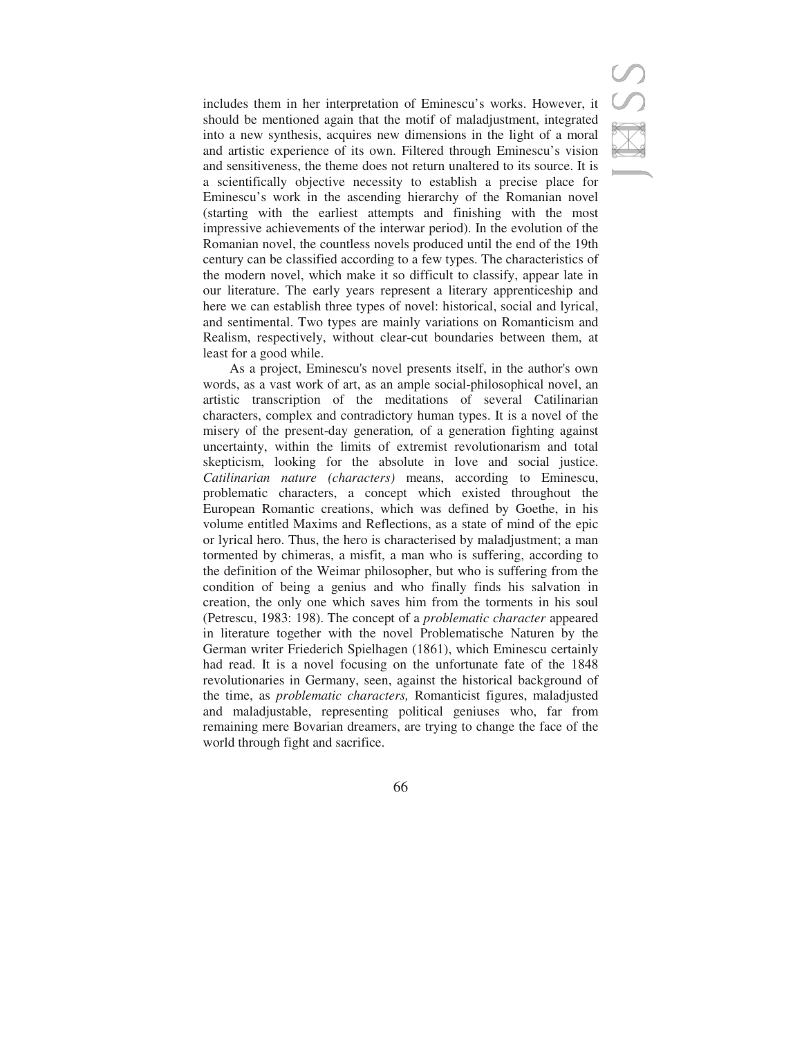includes them in her interpretation of Eminescu's works. However, it should be mentioned again that the motif of maladjustment, integrated into a new synthesis, acquires new dimensions in the light of a moral and artistic experience of its own. Filtered through Eminescu's vision and sensitiveness, the theme does not return unaltered to its source. It is a scientifically objective necessity to establish a precise place for Eminescu's work in the ascending hierarchy of the Romanian novel (starting with the earliest attempts and finishing with the most impressive achievements of the interwar period). In the evolution of the Romanian novel, the countless novels produced until the end of the 19th century can be classified according to a few types. The characteristics of the modern novel, which make it so difficult to classify, appear late in our literature. The early years represent a literary apprenticeship and here we can establish three types of novel: historical, social and lyrical, and sentimental. Two types are mainly variations on Romanticism and Realism, respectively, without clear-cut boundaries between them, at least for a good while.

As a project, Eminescu's novel presents itself, in the author's own words, as a vast work of art, as an ample social-philosophical novel, an artistic transcription of the meditations of several Catilinarian characters, complex and contradictory human types. It is a novel of the misery of the present-day generation*,* of a generation fighting against uncertainty, within the limits of extremist revolutionarism and total skepticism, looking for the absolute in love and social justice. *Catilinarian nature (characters)* means, according to Eminescu, problematic characters, a concept which existed throughout the European Romantic creations, which was defined by Goethe, in his volume entitled Maxims and Reflections, as a state of mind of the epic or lyrical hero. Thus, the hero is characterised by maladjustment; a man tormented by chimeras, a misfit, a man who is suffering, according to the definition of the Weimar philosopher, but who is suffering from the condition of being a genius and who finally finds his salvation in creation, the only one which saves him from the torments in his soul (Petrescu, 1983: 198). The concept of a *problematic character* appeared in literature together with the novel Problematische Naturen by the German writer Friederich Spielhagen (1861), which Eminescu certainly had read. It is a novel focusing on the unfortunate fate of the 1848 revolutionaries in Germany, seen, against the historical background of the time, as *problematic characters,* Romanticist figures, maladjusted and maladjustable, representing political geniuses who, far from remaining mere Bovarian dreamers, are trying to change the face of the world through fight and sacrifice.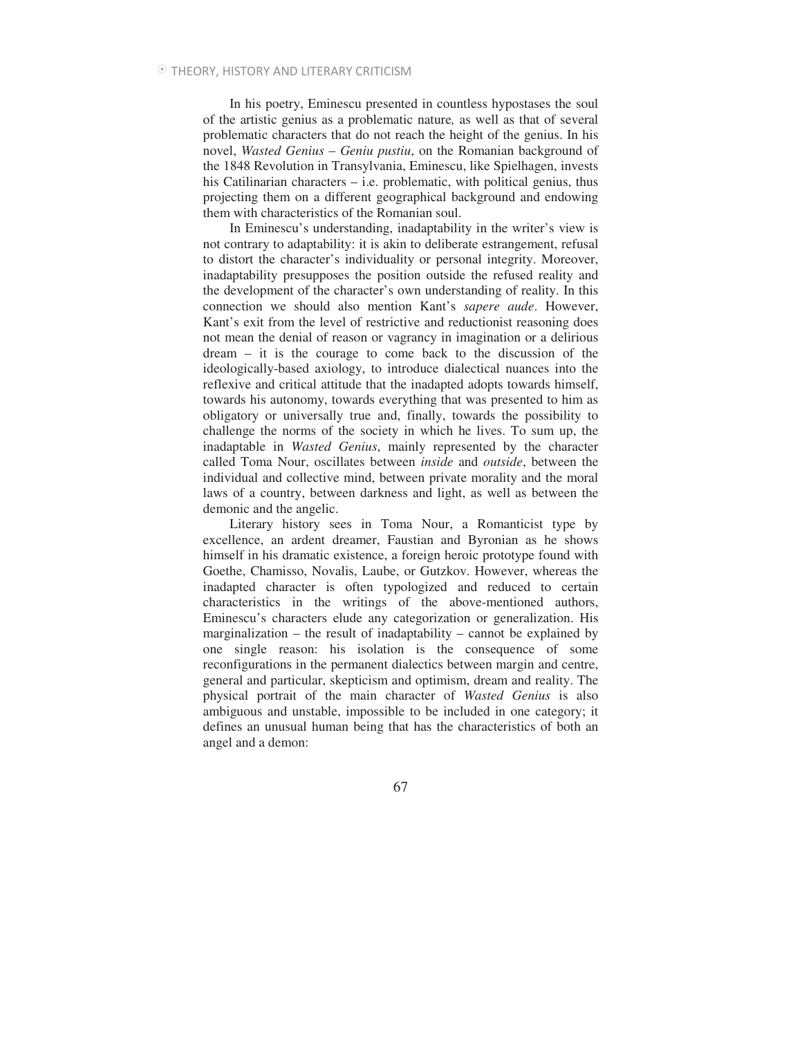In his poetry, Eminescu presented in countless hypostases the soul of the artistic genius as a problematic nature*,* as well as that of several problematic characters that do not reach the height of the genius. In his novel, *Wasted Genius* – *Geniu pustiu*, on the Romanian background of the 1848 Revolution in Transylvania, Eminescu, like Spielhagen, invests his Catilinarian characters – i.e. problematic, with political genius, thus projecting them on a different geographical background and endowing them with characteristics of the Romanian soul.

In Eminescu's understanding, inadaptability in the writer's view is not contrary to adaptability: it is akin to deliberate estrangement, refusal to distort the character's individuality or personal integrity. Moreover, inadaptability presupposes the position outside the refused reality and the development of the character's own understanding of reality. In this connection we should also mention Kant's *sapere aude*. However, Kant's exit from the level of restrictive and reductionist reasoning does not mean the denial of reason or vagrancy in imagination or a delirious dream – it is the courage to come back to the discussion of the ideologically-based axiology, to introduce dialectical nuances into the reflexive and critical attitude that the inadapted adopts towards himself, towards his autonomy, towards everything that was presented to him as obligatory or universally true and, finally, towards the possibility to challenge the norms of the society in which he lives. To sum up, the inadaptable in *Wasted Genius*, mainly represented by the character called Toma Nour, oscillates between *inside* and *outside*, between the individual and collective mind, between private morality and the moral laws of a country, between darkness and light, as well as between the demonic and the angelic.

Literary history sees in Toma Nour, a Romanticist type by excellence, an ardent dreamer, Faustian and Byronian as he shows himself in his dramatic existence, a foreign heroic prototype found with Goethe, Chamisso, Novalis, Laube, or Gutzkov. However, whereas the inadapted character is often typologized and reduced to certain characteristics in the writings of the above-mentioned authors, Eminescu's characters elude any categorization or generalization. His marginalization – the result of inadaptability – cannot be explained by one single reason: his isolation is the consequence of some reconfigurations in the permanent dialectics between margin and centre, general and particular, skepticism and optimism, dream and reality. The physical portrait of the main character of *Wasted Genius* is also ambiguous and unstable, impossible to be included in one category; it defines an unusual human being that has the characteristics of both an angel and a demon: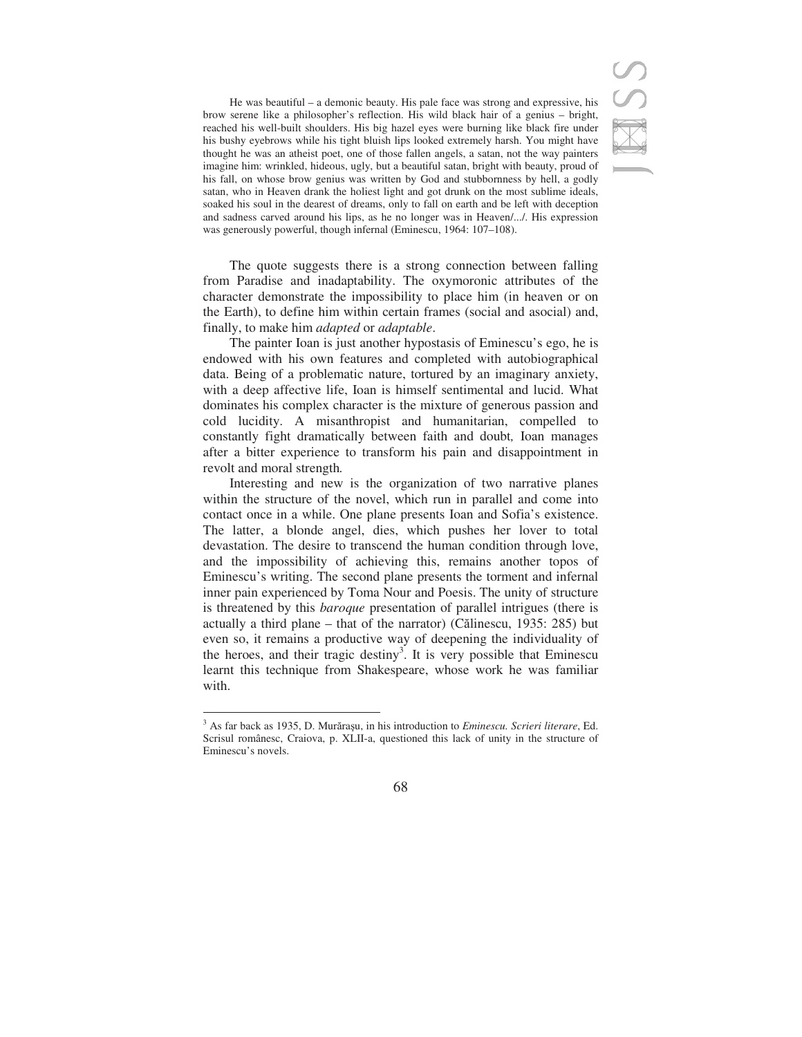He was beautiful – a demonic beauty. His pale face was strong and expressive, his brow serene like a philosopher's reflection. His wild black hair of a genius – bright, reached his well-built shoulders. His big hazel eyes were burning like black fire under his bushy eyebrows while his tight bluish lips looked extremely harsh. You might have thought he was an atheist poet, one of those fallen angels, a satan, not the way painters imagine him: wrinkled, hideous, ugly, but a beautiful satan, bright with beauty, proud of his fall, on whose brow genius was written by God and stubbornness by hell, a godly satan, who in Heaven drank the holiest light and got drunk on the most sublime ideals, soaked his soul in the dearest of dreams, only to fall on earth and be left with deception and sadness carved around his lips, as he no longer was in Heaven/.../. His expression was generously powerful, though infernal (Eminescu, 1964: 107–108).

The quote suggests there is a strong connection between falling from Paradise and inadaptability. The oxymoronic attributes of the character demonstrate the impossibility to place him (in heaven or on the Earth), to define him within certain frames (social and asocial) and, finally, to make him *adapted* or *adaptable*.

The painter Ioan is just another hypostasis of Eminescu's ego, he is endowed with his own features and completed with autobiographical data. Being of a problematic nature, tortured by an imaginary anxiety, with a deep affective life, Ioan is himself sentimental and lucid. What dominates his complex character is the mixture of generous passion and cold lucidity. A misanthropist and humanitarian, compelled to constantly fight dramatically between faith and doubt*,* Ioan manages after a bitter experience to transform his pain and disappointment in revolt and moral strength*.* 

Interesting and new is the organization of two narrative planes within the structure of the novel, which run in parallel and come into contact once in a while. One plane presents Ioan and Sofia's existence. The latter, a blonde angel, dies, which pushes her lover to total devastation. The desire to transcend the human condition through love, and the impossibility of achieving this, remains another topos of Eminescu's writing. The second plane presents the torment and infernal inner pain experienced by Toma Nour and Poesis. The unity of structure is threatened by this *baroque* presentation of parallel intrigues (there is actually a third plane – that of the narrator) (Călinescu, 1935: 285) but even so, it remains a productive way of deepening the individuality of the heroes, and their tragic destiny<sup>3</sup>. It is very possible that Eminescu learnt this technique from Shakespeare, whose work he was familiar with.

 $\overline{a}$ 



<sup>&</sup>lt;sup>3</sup> As far back as 1935, D. Murărașu, in his introduction to *Eminescu. Scrieri literare*, Ed. Scrisul românesc, Craiova, p. XLII-a, questioned this lack of unity in the structure of Eminescu's novels.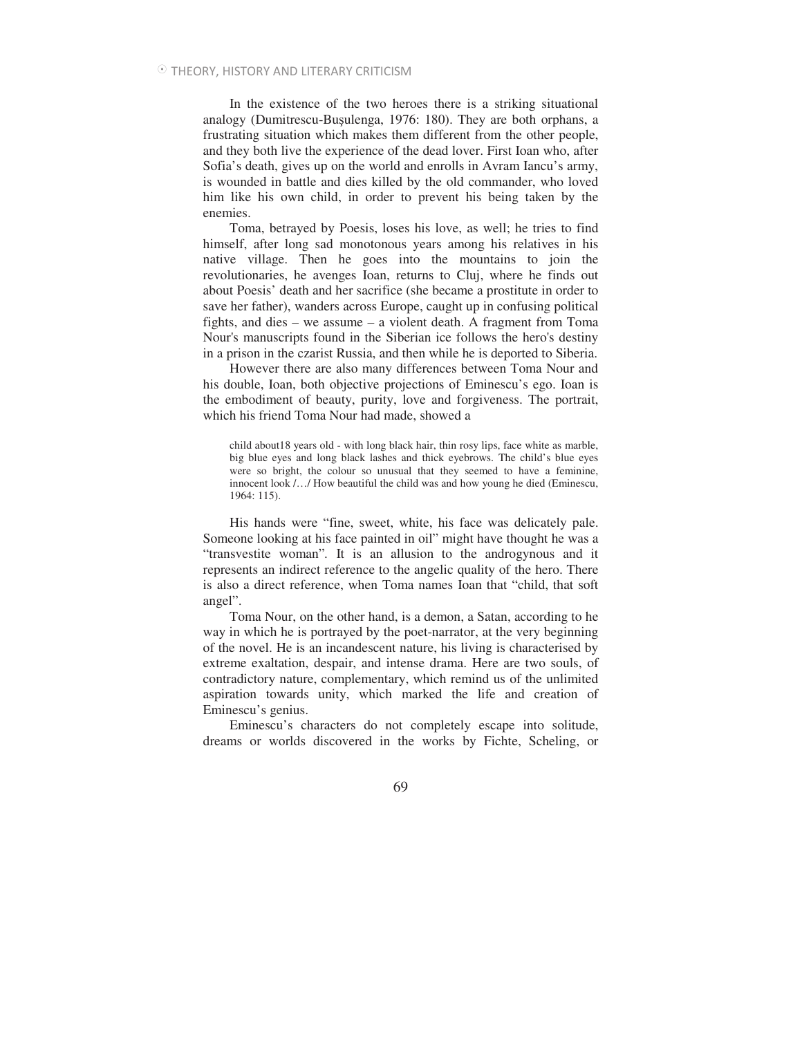In the existence of the two heroes there is a striking situational analogy (Dumitrescu-Bușulenga, 1976: 180). They are both orphans, a frustrating situation which makes them different from the other people, and they both live the experience of the dead lover. First Ioan who, after Sofia's death, gives up on the world and enrolls in Avram Iancu's army, is wounded in battle and dies killed by the old commander, who loved him like his own child, in order to prevent his being taken by the enemies.

Toma, betrayed by Poesis, loses his love, as well; he tries to find himself, after long sad monotonous years among his relatives in his native village. Then he goes into the mountains to join the revolutionaries, he avenges Ioan, returns to Cluj, where he finds out about Poesis' death and her sacrifice (she became a prostitute in order to save her father), wanders across Europe, caught up in confusing political fights, and dies – we assume – a violent death. A fragment from Toma Nour's manuscripts found in the Siberian ice follows the hero's destiny in a prison in the czarist Russia, and then while he is deported to Siberia.

However there are also many differences between Toma Nour and his double, Ioan, both objective projections of Eminescu's ego. Ioan is the embodiment of beauty, purity, love and forgiveness. The portrait, which his friend Toma Nour had made, showed a

child about18 years old - with long black hair, thin rosy lips, face white as marble, big blue eyes and long black lashes and thick eyebrows. The child's blue eyes were so bright, the colour so unusual that they seemed to have a feminine, innocent look /…/ How beautiful the child was and how young he died (Eminescu, 1964: 115).

His hands were "fine, sweet, white, his face was delicately pale. Someone looking at his face painted in oil" might have thought he was a "transvestite woman"*.* It is an allusion to the androgynous and it represents an indirect reference to the angelic quality of the hero. There is also a direct reference, when Toma names Ioan that "child, that soft angel".

Toma Nour, on the other hand, is a demon, a Satan, according to he way in which he is portrayed by the poet-narrator, at the very beginning of the novel. He is an incandescent nature, his living is characterised by extreme exaltation, despair, and intense drama. Here are two souls, of contradictory nature, complementary, which remind us of the unlimited aspiration towards unity, which marked the life and creation of Eminescu's genius.

Eminescu's characters do not completely escape into solitude, dreams or worlds discovered in the works by Fichte, Scheling, or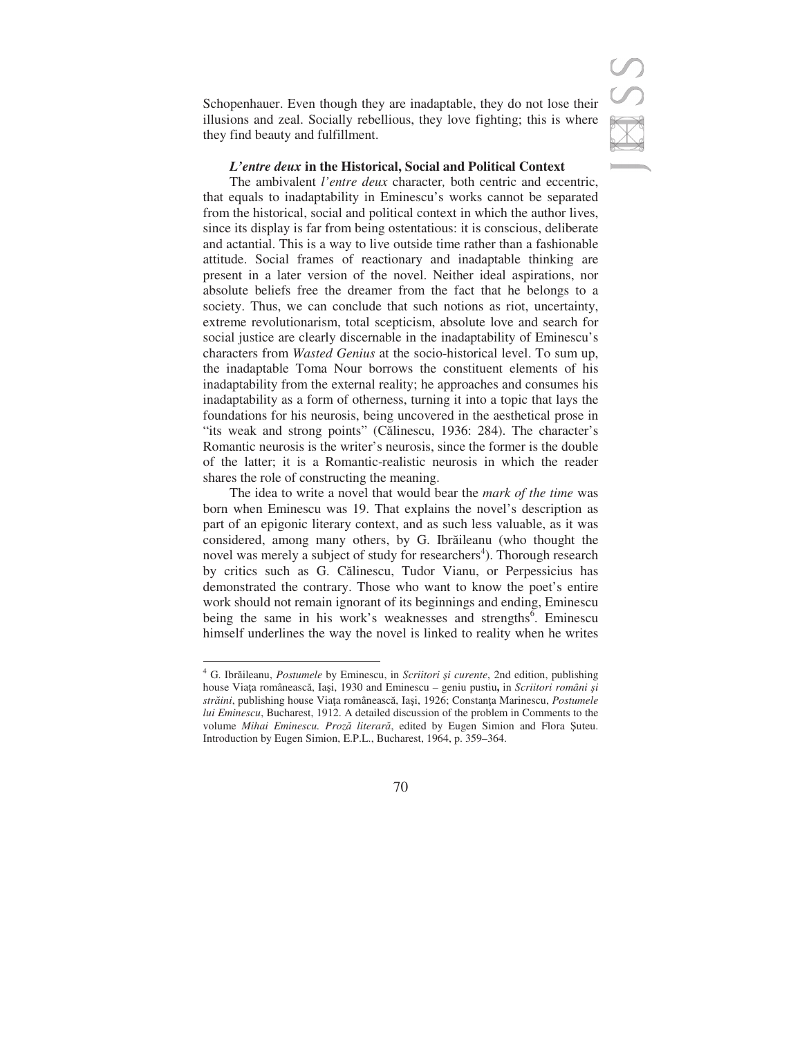Schopenhauer. Even though they are inadaptable, they do not lose their illusions and zeal. Socially rebellious, they love fighting; this is where they find beauty and fulfillment.

#### *L'entre deux* **in the Historical, Social and Political Context**

The ambivalent *l'entre deux* character*,* both centric and eccentric, that equals to inadaptability in Eminescu's works cannot be separated from the historical, social and political context in which the author lives, since its display is far from being ostentatious: it is conscious, deliberate and actantial. This is a way to live outside time rather than a fashionable attitude. Social frames of reactionary and inadaptable thinking are present in a later version of the novel. Neither ideal aspirations, nor absolute beliefs free the dreamer from the fact that he belongs to a society. Thus, we can conclude that such notions as riot, uncertainty, extreme revolutionarism, total scepticism, absolute love and search for social justice are clearly discernable in the inadaptability of Eminescu's characters from *Wasted Genius* at the socio-historical level. To sum up, the inadaptable Toma Nour borrows the constituent elements of his inadaptability from the external reality; he approaches and consumes his inadaptability as a form of otherness, turning it into a topic that lays the foundations for his neurosis, being uncovered in the aesthetical prose in "its weak and strong points" (Călinescu, 1936: 284). The character's Romantic neurosis is the writer's neurosis, since the former is the double of the latter; it is a Romantic-realistic neurosis in which the reader shares the role of constructing the meaning.

The idea to write a novel that would bear the *mark of the time* was born when Eminescu was 19. That explains the novel's description as part of an epigonic literary context, and as such less valuable, as it was considered, among many others, by G. Ibrăileanu (who thought the novel was merely a subject of study for researchers<sup>4</sup>). Thorough research by critics such as G. Călinescu, Tudor Vianu, or Perpessicius has demonstrated the contrary. Those who want to know the poet's entire work should not remain ignorant of its beginnings and ending, Eminescu being the same in his work's weaknesses and strengths<sup>6</sup>. Eminescu himself underlines the way the novel is linked to reality when he writes

 $\overline{a}$ 



<sup>&</sup>lt;sup>4</sup> G. Ibrăileanu, *Postumele* by Eminescu, in *Scriitori și curente*, 2nd edition, publishing house Viața românească, Iași, 1930 and Eminescu – geniu pustiu, in Scriitori români și străini, publishing house Viața românească, Iași, 1926; Constanța Marinescu, Postumele *lui Eminescu*, Bucharest, 1912. A detailed discussion of the problem in Comments to the volume *Mihai Eminescu. Proză literară*, edited by Eugen Simion and Flora Șuteu. Introduction by Eugen Simion, E.P.L., Bucharest, 1964, p. 359–364.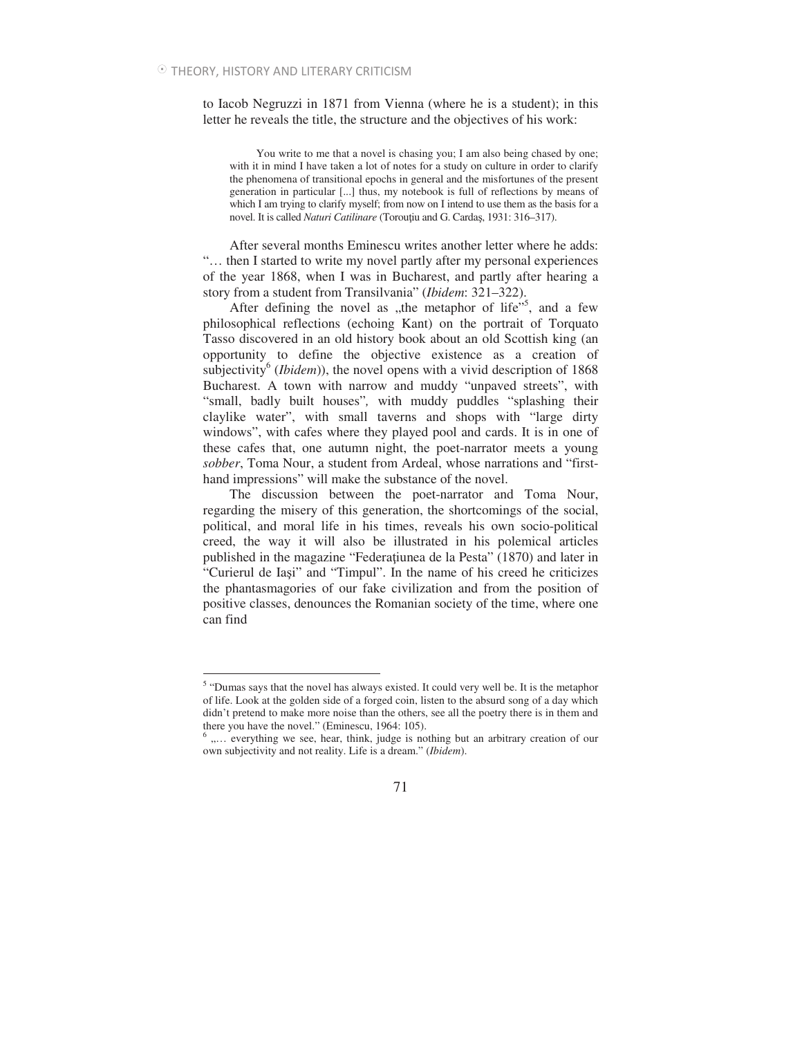$\overline{a}$ 

to Iacob Negruzzi in 1871 from Vienna (where he is a student); in this letter he reveals the title, the structure and the objectives of his work:

You write to me that a novel is chasing you; I am also being chased by one; with it in mind I have taken a lot of notes for a study on culture in order to clarify the phenomena of transitional epochs in general and the misfortunes of the present generation in particular [...] thus, my notebook is full of reflections by means of which I am trying to clarify myself; from now on I intend to use them as the basis for a novel. It is called *Naturi Catilinare* (Torouțiu and G. Cardaş, 1931: 316-317).

After several months Eminescu writes another letter where he adds: "… then I started to write my novel partly after my personal experiences of the year 1868, when I was in Bucharest, and partly after hearing a story from a student from Transilvania" (*Ibidem*: 321–322).

After defining the novel as "the metaphor of life"<sup>5</sup>, and a few philosophical reflections (echoing Kant) on the portrait of Torquato Tasso discovered in an old history book about an old Scottish king (an opportunity to define the objective existence as a creation of subjectivity<sup>6</sup> (*Ibidem*)), the novel opens with a vivid description of 1868 Bucharest. A town with narrow and muddy "unpaved streets", with "small, badly built houses"*,* with muddy puddles "splashing their claylike water", with small taverns and shops with "large dirty windows", with cafes where they played pool and cards. It is in one of these cafes that, one autumn night, the poet-narrator meets a young *sobber*, Toma Nour, a student from Ardeal, whose narrations and "firsthand impressions" will make the substance of the novel.

The discussion between the poet-narrator and Toma Nour, regarding the misery of this generation, the shortcomings of the social, political, and moral life in his times, reveals his own socio-political creed, the way it will also be illustrated in his polemical articles published in the magazine "Federaiunea de la Pesta" (1870) and later in "Curierul de Iași" and "Timpul". In the name of his creed he criticizes the phantasmagories of our fake civilization and from the position of positive classes, denounces the Romanian society of the time, where one can find

<sup>&</sup>lt;sup>5</sup> "Dumas says that the novel has always existed. It could very well be. It is the metaphor of life. Look at the golden side of a forged coin, listen to the absurd song of a day which didn't pretend to make more noise than the others, see all the poetry there is in them and there you have the novel." (Eminescu, 1964: 105).

<sup>6</sup> ..... everything we see, hear, think, judge is nothing but an arbitrary creation of our own subjectivity and not reality. Life is a dream." (*Ibidem*).

<sup>71</sup>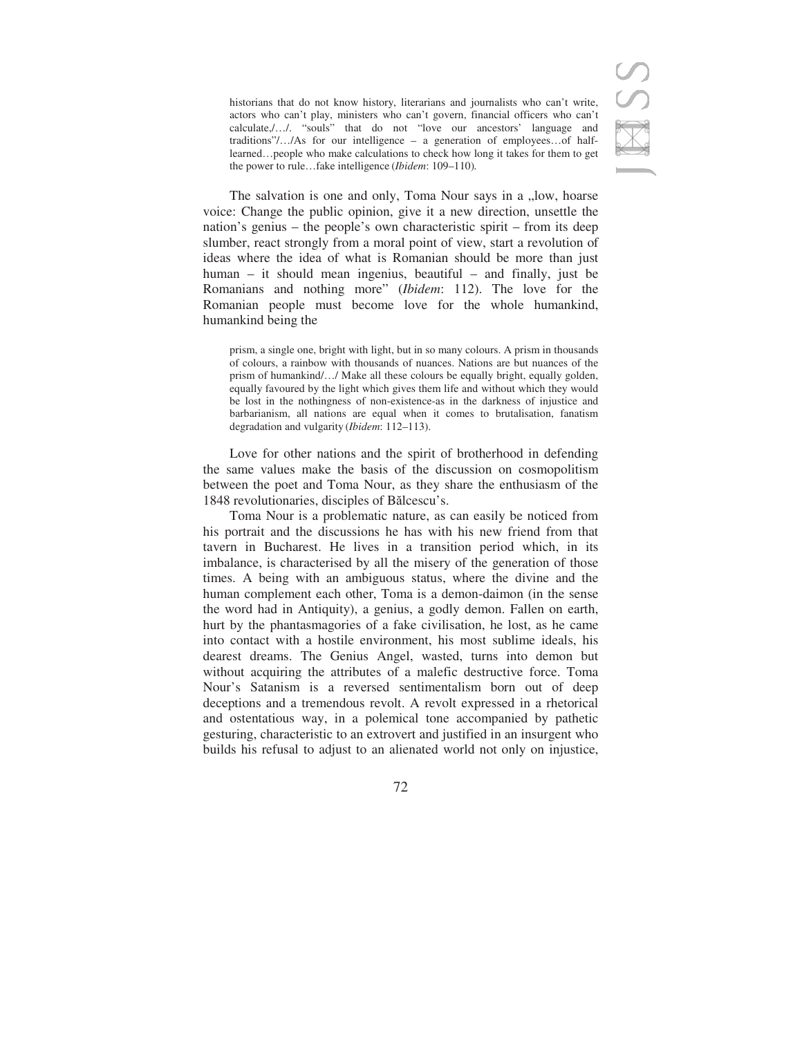historians that do not know history, literarians and journalists who can't write, actors who can't play, ministers who can't govern, financial officers who can't calculate,/…/. "souls" that do not "love our ancestors' language and traditions"/…/As for our intelligence – a generation of employees…of halflearned…people who make calculations to check how long it takes for them to get the power to rule…fake intelligence (*Ibidem*: 109–110)*.* 

The salvation is one and only, Toma Nour says in a ,,low, hoarse voice: Change the public opinion, give it a new direction, unsettle the nation's genius – the people's own characteristic spirit – from its deep slumber, react strongly from a moral point of view, start a revolution of ideas where the idea of what is Romanian should be more than just human – it should mean ingenius, beautiful – and finally, just be Romanians and nothing more" (*Ibidem*: 112). The love for the Romanian people must become love for the whole humankind, humankind being the

prism, a single one, bright with light, but in so many colours. A prism in thousands of colours, a rainbow with thousands of nuances. Nations are but nuances of the prism of humankind/…/ Make all these colours be equally bright, equally golden, equally favoured by the light which gives them life and without which they would be lost in the nothingness of non-existence-as in the darkness of injustice and barbarianism, all nations are equal when it comes to brutalisation, fanatism degradation and vulgarity (*Ibidem*: 112–113).

Love for other nations and the spirit of brotherhood in defending the same values make the basis of the discussion on cosmopolitism between the poet and Toma Nour, as they share the enthusiasm of the 1848 revolutionaries, disciples of Bălcescu's.

Toma Nour is a problematic nature, as can easily be noticed from his portrait and the discussions he has with his new friend from that tavern in Bucharest. He lives in a transition period which, in its imbalance, is characterised by all the misery of the generation of those times. A being with an ambiguous status, where the divine and the human complement each other, Toma is a demon-daimon (in the sense the word had in Antiquity), a genius, a godly demon. Fallen on earth, hurt by the phantasmagories of a fake civilisation, he lost, as he came into contact with a hostile environment, his most sublime ideals, his dearest dreams. The Genius Angel, wasted, turns into demon but without acquiring the attributes of a malefic destructive force. Toma Nour's Satanism is a reversed sentimentalism born out of deep deceptions and a tremendous revolt. A revolt expressed in a rhetorical and ostentatious way, in a polemical tone accompanied by pathetic gesturing, characteristic to an extrovert and justified in an insurgent who builds his refusal to adjust to an alienated world not only on injustice,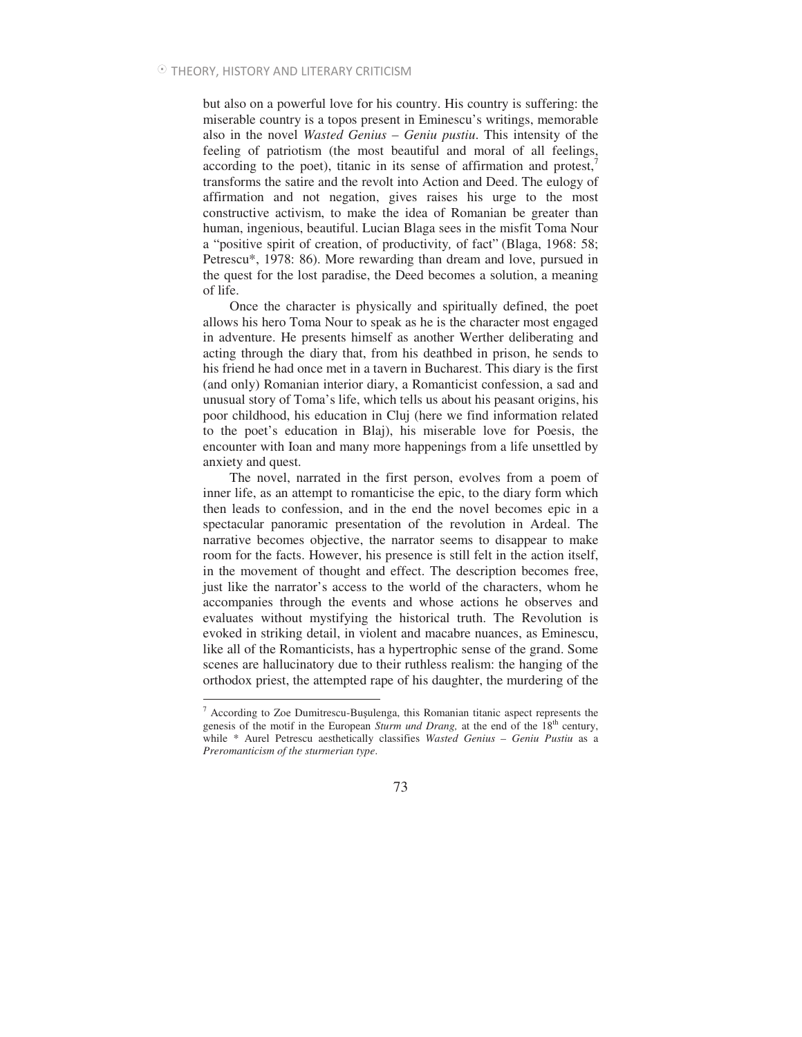but also on a powerful love for his country. His country is suffering: the miserable country is a topos present in Eminescu's writings, memorable also in the novel *Wasted Genius – Geniu pustiu*. This intensity of the feeling of patriotism (the most beautiful and moral of all feelings, according to the poet), titanic in its sense of affirmation and protest, transforms the satire and the revolt into Action and Deed. The eulogy of affirmation and not negation, gives raises his urge to the most constructive activism, to make the idea of Romanian be greater than human, ingenious, beautiful. Lucian Blaga sees in the misfit Toma Nour a "positive spirit of creation, of productivity*,* of fact" (Blaga, 1968: 58; Petrescu\*, 1978: 86). More rewarding than dream and love, pursued in the quest for the lost paradise, the Deed becomes a solution, a meaning of life.

Once the character is physically and spiritually defined, the poet allows his hero Toma Nour to speak as he is the character most engaged in adventure. He presents himself as another Werther deliberating and acting through the diary that, from his deathbed in prison, he sends to his friend he had once met in a tavern in Bucharest. This diary is the first (and only) Romanian interior diary, a Romanticist confession, a sad and unusual story of Toma's life, which tells us about his peasant origins, his poor childhood, his education in Cluj (here we find information related to the poet's education in Blaj), his miserable love for Poesis, the encounter with Ioan and many more happenings from a life unsettled by anxiety and quest.

The novel, narrated in the first person, evolves from a poem of inner life, as an attempt to romanticise the epic, to the diary form which then leads to confession, and in the end the novel becomes epic in a spectacular panoramic presentation of the revolution in Ardeal. The narrative becomes objective, the narrator seems to disappear to make room for the facts. However, his presence is still felt in the action itself, in the movement of thought and effect. The description becomes free, just like the narrator's access to the world of the characters, whom he accompanies through the events and whose actions he observes and evaluates without mystifying the historical truth. The Revolution is evoked in striking detail, in violent and macabre nuances, as Eminescu, like all of the Romanticists, has a hypertrophic sense of the grand. Some scenes are hallucinatory due to their ruthless realism: the hanging of the orthodox priest, the attempted rape of his daughter, the murdering of the

 $\overline{a}$ 

 $7$  According to Zoe Dumitrescu-Bușulenga, this Romanian titanic aspect represents the genesis of the motif in the European *Sturm und Drang*, at the end of the 18<sup>th</sup> century, while \* Aurel Petrescu aesthetically classifies *Wasted Genius – Geniu Pustiu* as a *Preromanticism of the sturmerian type*.

<sup>73</sup>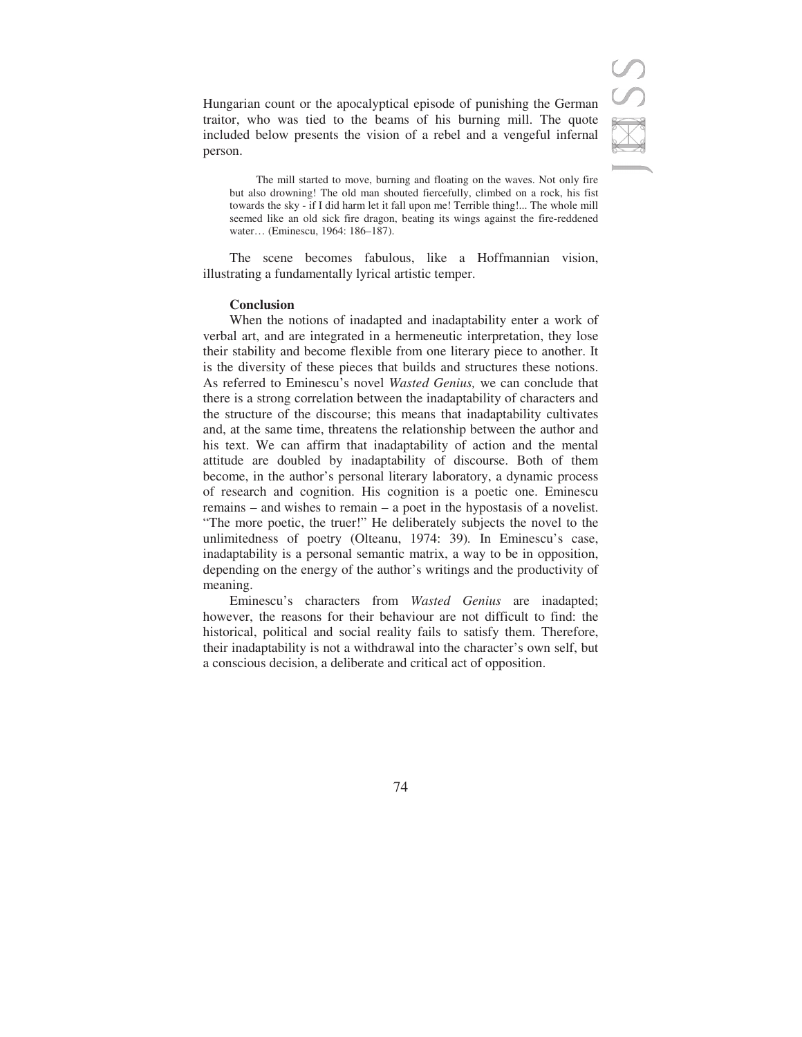Hungarian count or the apocalyptical episode of punishing the German traitor, who was tied to the beams of his burning mill. The quote included below presents the vision of a rebel and a vengeful infernal person.

The mill started to move, burning and floating on the waves. Not only fire but also drowning! The old man shouted fiercefully, climbed on a rock, his fist towards the sky - if I did harm let it fall upon me! Terrible thing!... The whole mill seemed like an old sick fire dragon, beating its wings against the fire-reddened water… (Eminescu, 1964: 186–187).

The scene becomes fabulous, like a Hoffmannian vision, illustrating a fundamentally lyrical artistic temper.

#### **Conclusion**

When the notions of inadapted and inadaptability enter a work of verbal art, and are integrated in a hermeneutic interpretation, they lose their stability and become flexible from one literary piece to another. It is the diversity of these pieces that builds and structures these notions. As referred to Eminescu's novel *Wasted Genius,* we can conclude that there is a strong correlation between the inadaptability of characters and the structure of the discourse; this means that inadaptability cultivates and, at the same time, threatens the relationship between the author and his text. We can affirm that inadaptability of action and the mental attitude are doubled by inadaptability of discourse. Both of them become, in the author's personal literary laboratory, a dynamic process of research and cognition. His cognition is a poetic one. Eminescu remains – and wishes to remain – a poet in the hypostasis of a novelist. "The more poetic, the truer!" He deliberately subjects the novel to the unlimitedness of poetry (Olteanu, 1974: 39)*.* In Eminescu's case, inadaptability is a personal semantic matrix, a way to be in opposition, depending on the energy of the author's writings and the productivity of meaning.

Eminescu's characters from *Wasted Genius* are inadapted; however, the reasons for their behaviour are not difficult to find: the historical, political and social reality fails to satisfy them. Therefore, their inadaptability is not a withdrawal into the character's own self, but a conscious decision, a deliberate and critical act of opposition.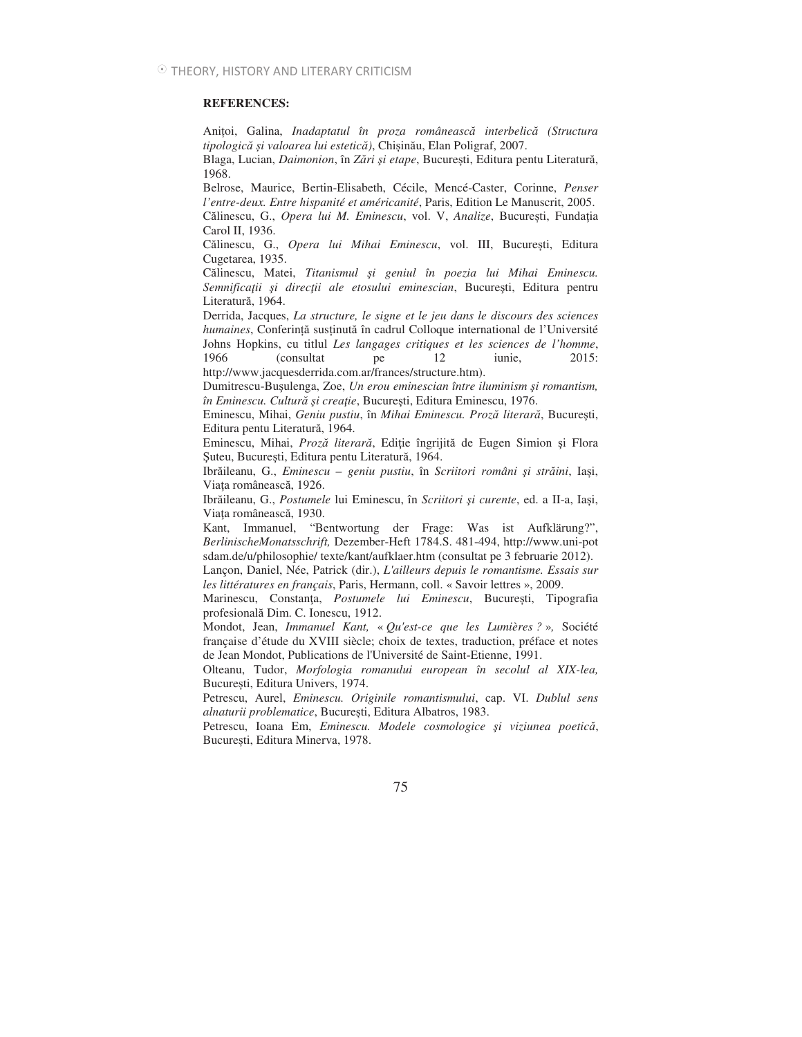#### **REFERENCES:**

Anioi, Galina, *Inadaptatul în proza româneasc interbelic (Structura*  tipologică și valoarea lui estetică), Chișinău, Elan Poligraf, 2007.

Blaga, Lucian, Daimonion, în Zări și etape, București, Editura pentu Literatură, 1968.

Belrose, Maurice, Bertin-Elisabeth, Cécile, Mencé-Caster, Corinne, *Penser l'entre-deux. Entre hispanité et américanité*, Paris, Edition Le Manuscrit, 2005. Călinescu, G., Opera lui M. Eminescu, vol. V, Analize, București, Fundația Carol II, 1936.

Călinescu, G., Opera lui Mihai Eminescu, vol. III, București, Editura Cugetarea, 1935.

Călinescu, Matei, Titanismul și geniul în poezia lui Mihai Eminescu. Semnificații și direcții ale etosului eminescian, București, Editura pentru Literatură, 1964.

Derrida, Jacques, *La structure, le signe et le jeu dans le discours des sciences*  humaines, Conferință susținută în cadrul Colloque international de l'Université Johns Hopkins, cu titlul *Les langages critiques et les sciences de l'homme*, 1966 (consultat pe 12 iunie, 2015:

http://www.jacquesderrida.com.ar/frances/structure.htm).

Dumitrescu-Bușulenga, Zoe, Un erou eminescian între iluminism și romantism, *în Eminescu. Cultur -i creaie*, Bucureti, Editura Eminescu, 1976.

Eminescu, Mihai, *Geniu pustiu*, în *Mihai Eminescu. Proz literar*, Bucureti, Editura pentu Literatură, 1964.

Eminescu, Mihai, Proză literară, Ediție îngrijită de Eugen Simion și Flora Șuteu, București, Editura pentu Literatură, 1964.

Ibrăileanu, G., Eminescu - geniu pustiu, în Scriitori români și străini, Iași, Viața românească, 1926.

Ibrăileanu, G., Postumele lui Eminescu, în Scriitori și curente, ed. a II-a, Iași, Viața românească, 1930.

Kant, Immanuel, "Bentwortung der Frage: Was ist Aufklärung?", *BerlinischeMonatsschrift,* Dezember-Heft 1784.S. 481-494, http://www.uni-pot sdam.de/u/philosophie/ texte/kant/aufklaer.htm (consultat pe 3 februarie 2012).

Lançon, Daniel, Née, Patrick (dir.), *L'ailleurs depuis le romantisme. Essais sur les littératures en français*, Paris, Hermann, coll. « Savoir lettres », 2009.

Marinescu, Constanța, Postumele lui Eminescu, București, Tipografia profesională Dim. C. Ionescu, 1912.

Mondot, Jean, *Immanuel Kant,* « *Qu'est-ce que les Lumières ?* »*,* Société française d'étude du XVIII siècle; choix de textes, traduction, préface et notes de Jean Mondot, Publications de l'Université de Saint-Etienne, 1991.

Olteanu, Tudor, *Morfologia romanului european în secolul al XIX-lea,*  București, Editura Univers, 1974.

Petrescu, Aurel, *Eminescu. Originile romantismului*, cap. VI. *Dublul sens alnaturii problematice*, București, Editura Albatros, 1983.

Petrescu, Ioana Em, *Eminescu. Modele cosmologice și viziunea poetică*, București, Editura Minerva, 1978.